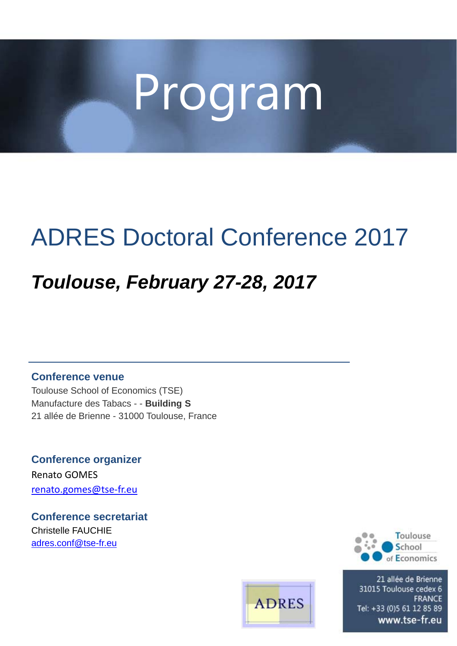# Program

# ADRES Doctoral Conference 2017

# *Toulouse, February 27-28, 2017*

**Conference venue**

Toulouse School of Economics (TSE) Manufacture des Tabacs - - **Building S** 21 allée de Brienne - 31000 Toulouse, France

**Conference organizer** Renato GOMES renato.gomes@tse‐fr.eu

**Conference secretariat** Christelle FAUCHIE adres.conf@tse-fr.eu





21 allée de Brienne 31015 Toulouse cedex 6 **FRANCE** Tel: +33 (0)5 61 12 85 89 www.tse-fr.eu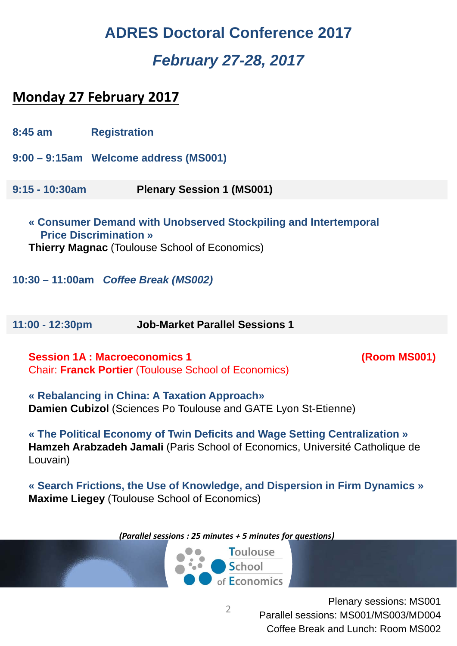## **ADRES Doctoral Conference 2017** *February 27-28, 2017*

### **Monday 27 February 2017**

|                                                                                                                                                          | $8:45$ am        | <b>Registration</b>                   |
|----------------------------------------------------------------------------------------------------------------------------------------------------------|------------------|---------------------------------------|
|                                                                                                                                                          |                  | 9:00 - 9:15am Welcome address (MS001) |
|                                                                                                                                                          | $9:15 - 10:30am$ | <b>Plenary Session 1 (MS001)</b>      |
| « Consumer Demand with Unobserved Stockpiling and Intertemporal<br><b>Price Discrimination</b> »<br><b>Thierry Magnac (Toulouse School of Economics)</b> |                  |                                       |

**10:30 – 11:00am** *Coffee Break (MS002)*

**11:00 - 12:30pm Job-Market Parallel Sessions 1** 

**Session 1A : Macroeconomics 1** (Room MS001) Chair: **Franck Portier** (Toulouse School of Economics)

**« Rebalancing in China: A Taxation Approach» Damien Cubizol** (Sciences Po Toulouse and GATE Lyon St-Etienne)

**« The Political Economy of Twin Deficits and Wage Setting Centralization » Hamzeh Arabzadeh Jamali** (Paris School of Economics, Université Catholique de Louvain)

**« Search Frictions, the Use of Knowledge, and Dispersion in Firm Dynamics » Maxime Liegey** (Toulouse School of Economics)

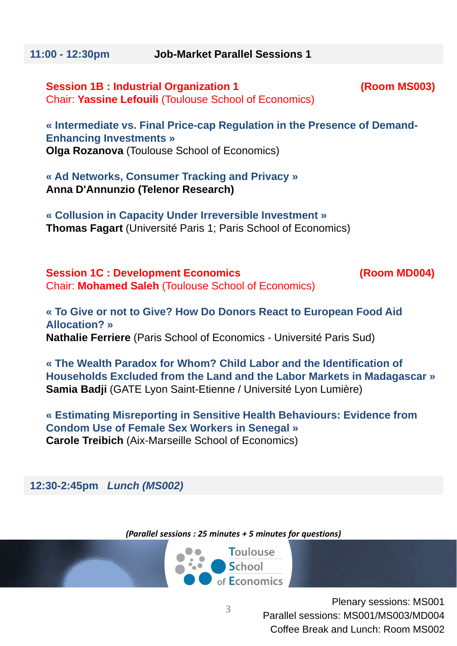**Session 1B : Industrial Organization 1 (Room MS003)**  Chair: **Yassine Lefouili** (Toulouse School of Economics)

**« Intermediate vs. Final Price-cap Regulation in the Presence of Demand-Enhancing Investments » Olga Rozanova** (Toulouse School of Economics)

**« Ad Networks, Consumer Tracking and Privacy » Anna D'Annunzio (Telenor Research)**

**« Collusion in Capacity Under Irreversible Investment » Thomas Fagart** (Université Paris 1; Paris School of Economics)

**Session 1C : Development Economics (Room MD004)** Chair: **Mohamed Saleh** (Toulouse School of Economics)

**« To Give or not to Give? How Do Donors React to European Food Aid Allocation? » Nathalie Ferriere** (Paris School of Economics - Université Paris Sud)

**« The Wealth Paradox for Whom? Child Labor and the Identification of Households Excluded from the Land and the Labor Markets in Madagascar » Samia Badji** (GATE Lyon Saint-Etienne / Université Lyon Lumière)

**« Estimating Misreporting in Sensitive Health Behaviours: Evidence from Condom Use of Female Sex Workers in Senegal » Carole Treibich** (Aix-Marseille School of Economics)

**12:30-2:45pm** *Lunch (MS002)*

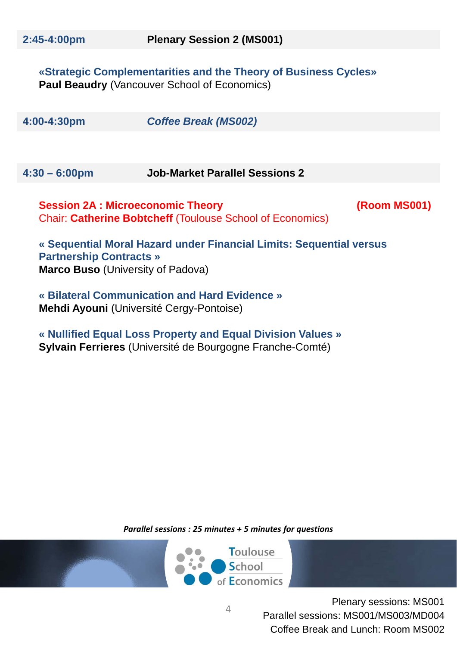**«Strategic Complementarities and the Theory of Business Cycles» Paul Beaudry** (Vancouver School of Economics)

| 4:00-4:30pm | <b>Coffee Break (MS002)</b> |
|-------------|-----------------------------|
|             |                             |

**4:30 – 6:00pm Job-Market Parallel Sessions 2** 

**Session 2A : Microeconomic Theory (Room MS001)** Chair: **Catherine Bobtcheff** (Toulouse School of Economics)

**« Sequential Moral Hazard under Financial Limits: Sequential versus Partnership Contracts » Marco Buso** (University of Padova)

**« Bilateral Communication and Hard Evidence » Mehdi Ayouni** (Université Cergy-Pontoise)

**« Nullified Equal Loss Property and Equal Division Values » Sylvain Ferrieres** (Université de Bourgogne Franche-Comté)

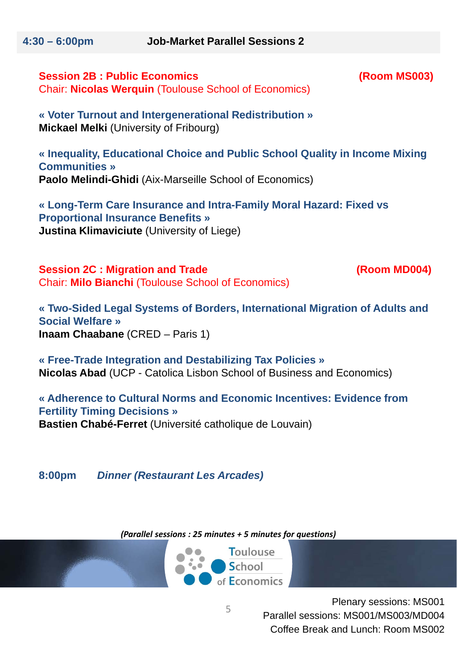**4:30 – 6:00pm Job-Market Parallel Sessions 2** 

#### **Session 2B : Public Economics (Room MS003)** Chair: **Nicolas Werquin** (Toulouse School of Economics)

**« Voter Turnout and Intergenerational Redistribution » Mickael Melki** (University of Fribourg)

**« Inequality, Educational Choice and Public School Quality in Income Mixing Communities » Paolo Melindi-Ghidi** (Aix-Marseille School of Economics)

**« Long-Term Care Insurance and Intra-Family Moral Hazard: Fixed vs Proportional Insurance Benefits » Justina Klimaviciute** (University of Liege)

**Session 2C : Migration and Trade (Room MD004)** Chair: **Milo Bianchi** (Toulouse School of Economics)

**« Two-Sided Legal Systems of Borders, International Migration of Adults and Social Welfare » Inaam Chaabane** (CRED – Paris 1)

**« Free-Trade Integration and Destabilizing Tax Policies » Nicolas Abad** (UCP - Catolica Lisbon School of Business and Economics)

**« Adherence to Cultural Norms and Economic Incentives: Evidence from Fertility Timing Decisions » Bastien Chabé-Ferret** (Université catholique de Louvain)

**8:00pm** *Dinner (Restaurant Les Arcades)*

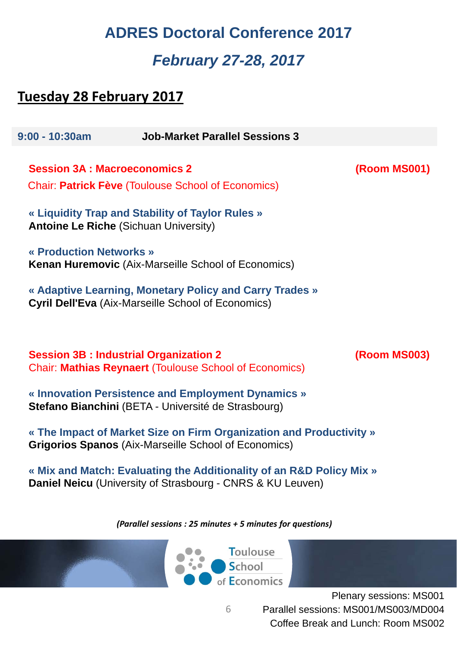### **ADRES Doctoral Conference 2017** *February 27-28, 2017*

### **Tuesday 28 February 2017**

**9:00 - 10:30am Job-Market Parallel Sessions 3 Session 3A : Macroeconomics 2 (Room MS001)** Chair: **Patrick Fève** (Toulouse School of Economics) **« Liquidity Trap and Stability of Taylor Rules » Antoine Le Riche** (Sichuan University) **« Production Networks » Kenan Huremovic** (Aix-Marseille School of Economics) **« Adaptive Learning, Monetary Policy and Carry Trades » Cyril Dell'Eva** (Aix-Marseille School of Economics) **Session 3B : Industrial Organization 2 (Room MS003)** Chair: **Mathias Reynaert** (Toulouse School of Economics) **« Innovation Persistence and Employment Dynamics » Stefano Bianchini** (BETA - Université de Strasbourg) **« The Impact of Market Size on Firm Organization and Productivity » Grigorios Spanos** (Aix-Marseille School of Economics) **« Mix and Match: Evaluating the Additionality of an R&D Policy Mix » Daniel Neicu** (University of Strasbourg - CNRS & KU Leuven) *(Parallel sessions : 25 minutes + 5 minutes for questions)*



6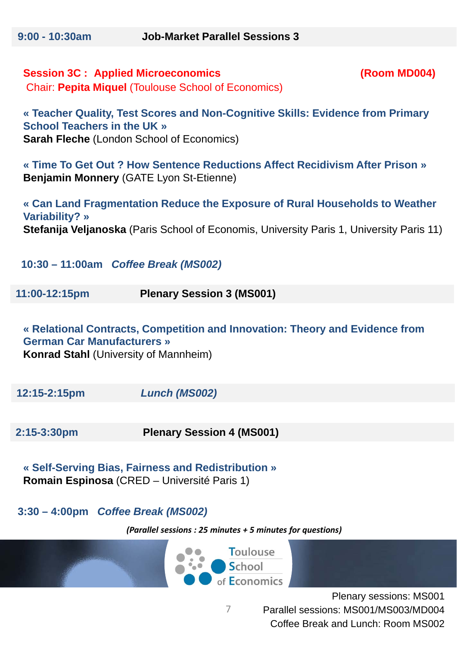### **Session 3C : Applied Microeconomics (Room MD004)** Chair: **Pepita Miquel** (Toulouse School of Economics)

**« Teacher Quality, Test Scores and Non-Cognitive Skills: Evidence from Primary School Teachers in the UK » Sarah Fleche** (London School of Economics)

**« Time To Get Out ? How Sentence Reductions Affect Recidivism After Prison » Benjamin Monnery** (GATE Lyon St-Etienne)

**« Can Land Fragmentation Reduce the Exposure of Rural Households to Weather Variability? » Stefanija Veljanoska** (Paris School of Economis, University Paris 1, University Paris 11)

**10:30 – 11:00am** *Coffee Break (MS002)*

**11:00-12:15pm Plenary Session 3 (MS001)**

**« Relational Contracts, Competition and Innovation: Theory and Evidence from German Car Manufacturers » Konrad Stahl** (University of Mannheim)

**12:15-2:15pm** *Lunch (MS002)*

**2:15-3:30pm Plenary Session 4 (MS001)**

**« Self-Serving Bias, Fairness and Redistribution » Romain Espinosa** (CRED – Université Paris 1)

**3:30 – 4:00pm** *Coffee Break (MS002)*

*(Parallel sessions : 25 minutes + 5 minutes for questions)*



Plenary sessions: MS001 Parallel sessions: MS001/MS003/MD004 Coffee Break and Lunch: Room MS002

7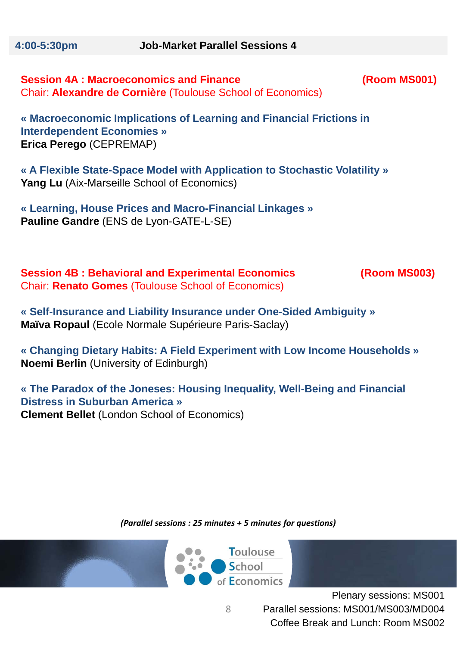**Session 4A : Macroeconomics and Finance (Room MS001)** Chair: **Alexandre de Cornière** (Toulouse School of Economics)

**« Macroeconomic Implications of Learning and Financial Frictions in Interdependent Economies » Erica Perego** (CEPREMAP)

**« A Flexible State-Space Model with Application to Stochastic Volatility » Yang Lu** (Aix-Marseille School of Economics)

**« Learning, House Prices and Macro-Financial Linkages » Pauline Gandre** (ENS de Lyon-GATE-L-SE)

**Session 4B : Behavioral and Experimental Economics (Room MS003)** Chair: **Renato Gomes** (Toulouse School of Economics)

**« Self-Insurance and Liability Insurance under One-Sided Ambiguity » Maïva Ropaul** (Ecole Normale Supérieure Paris-Saclay)

**« Changing Dietary Habits: A Field Experiment with Low Income Households » Noemi Berlin** (University of Edinburgh)

**« The Paradox of the Joneses: Housing Inequality, Well-Being and Financial Distress in Suburban America » Clement Bellet** (London School of Economics)